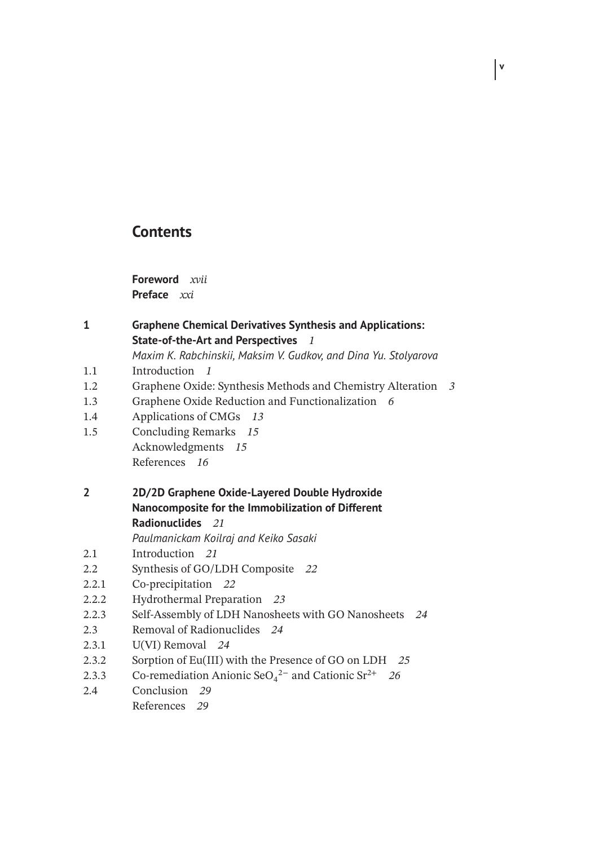## **Contents**

**Foreword** *xvii* **Preface** *xxi*

## **1 Graphene Chemical Derivatives Synthesis and Applications: State-of-the-Art and Perspectives** *1*

*Maxim K. Rabchinskii, Maksim V. Gudkov, and Dina Yu. Stolyarova*

**v**

- 1.1 Introduction *1*
- 1.2 Graphene Oxide: Synthesis Methods and Chemistry Alteration *3*
- 1.3 Graphene Oxide Reduction and Functionalization *6*
- 1.4 Applications of CMGs *13*
- 1.5 Concluding Remarks *15* Acknowledgments *15* References *16*
- **2 2D/2D Graphene Oxide-Layered Double Hydroxide Nanocomposite for the Immobilization of Different Radionuclides** *21*

*Paulmanickam Koilraj and Keiko Sasaki*

- 2.1 Introduction *21*
- 2.2 Synthesis of GO/LDH Composite *22*
- 2.2.1 Co-precipitation *22*
- 2.2.2 Hydrothermal Preparation *23*
- 2.2.3 Self-Assembly of LDH Nanosheets with GO Nanosheets *24*
- 2.3 Removal of Radionuclides *24*
- 2.3.1 U(VI) Removal *24*
- 2.3.2 Sorption of Eu(III) with the Presence of GO on LDH *25*
- 2.3.3 Co-remediation Anionic SeO<sub>4</sub><sup>2−</sup> and Cationic Sr<sup>2+</sup> 26
- 2.4 Conclusion *29* References *29*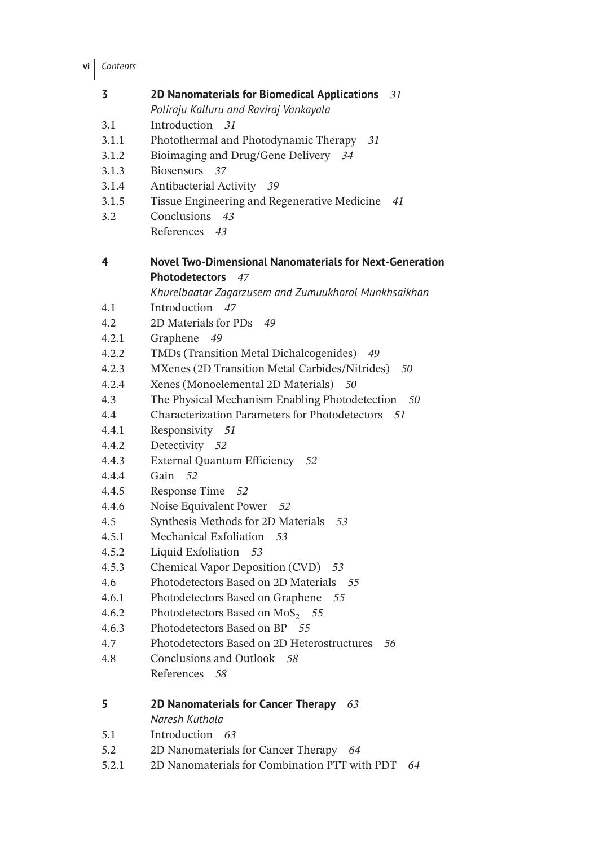| 3     | 2D Nanomaterials for Biomedical Applications 31                |
|-------|----------------------------------------------------------------|
|       | Poliraju Kalluru and Raviraj Vankayala                         |
| 3.1   | Introduction 31                                                |
| 3.1.1 | Photothermal and Photodynamic Therapy<br>31                    |
| 3.1.2 | Bioimaging and Drug/Gene Delivery 34                           |
| 3.1.3 | Biosensors 37                                                  |
| 3.1.4 | Antibacterial Activity 39                                      |
| 3.1.5 | Tissue Engineering and Regenerative Medicine<br>41             |
| 3.2   | Conclusions<br>43                                              |
|       | References 43                                                  |
| 4     | <b>Novel Two-Dimensional Nanomaterials for Next-Generation</b> |
|       | <b>Photodetectors</b><br>47                                    |
|       | Khurelbaatar Zagarzusem and Zumuukhorol Munkhsaikhan           |
| 4.1   | Introduction<br>47                                             |
| 4.2   | 2D Materials for PDs 49                                        |
| 4.2.1 | Graphene 49                                                    |
| 4.2.2 | TMDs (Transition Metal Dichalcogenides)<br>49                  |
| 4.2.3 | MXenes (2D Transition Metal Carbides/Nitrides)<br>50           |
| 4.2.4 | Xenes (Monoelemental 2D Materials) 50                          |
| 4.3   | The Physical Mechanism Enabling Photodetection<br>- 50         |
| 4.4   | <b>Characterization Parameters for Photodetectors</b><br>- 51  |
| 4.4.1 | Responsivity 51                                                |
| 4.4.2 | Detectivity 52                                                 |
| 4.4.3 | External Quantum Efficiency 52                                 |
| 4.4.4 | Gain 52                                                        |
| 4.4.5 | Response Time<br>- 52                                          |
| 4.4.6 | Noise Equivalent Power 52                                      |
| 4.5   | Synthesis Methods for 2D Materials 53                          |
| 4.5.1 | Mechanical Exfoliation<br>53                                   |
| 4.5.2 | Liquid Exfoliation 53                                          |
| 4.5.3 | Chemical Vapor Deposition (CVD) 53                             |
| 4.6   | Photodetectors Based on 2D Materials<br>- 55                   |
| 4.6.1 | Photodetectors Based on Graphene<br>55                         |
| 4.6.2 | Photodetectors Based on MoS <sub>2</sub> 55                    |
| 4.6.3 | Photodetectors Based on BP 55                                  |
| 4.7   | Photodetectors Based on 2D Heterostructures<br>56              |
| 4.8   | Conclusions and Outlook 58                                     |
|       | References<br>58                                               |
| 5     | 2D Nanomaterials for Cancer Therapy<br>63<br>Naresh Kuthala    |
| 5.1   | Introduction 63                                                |
| 5.2   | 2D Nanomaterials for Cancer Therapy<br>64                      |

5.2.1 2D Nanomaterials for Combination PTT with PDT *64*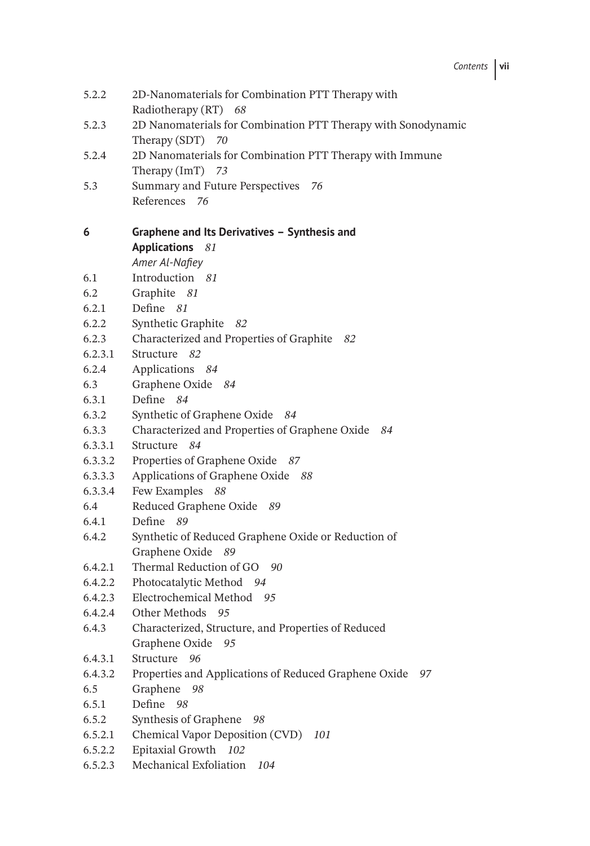| 5.2.2   | 2D-Nanomaterials for Combination PTT Therapy with<br>Radiotherapy (RT) 68            |
|---------|--------------------------------------------------------------------------------------|
| 5.2.3   | 2D Nanomaterials for Combination PTT Therapy with Sonodynamic<br>70<br>Therapy (SDT) |
| 5.2.4   | 2D Nanomaterials for Combination PTT Therapy with Immune                             |
|         | Therapy $(ImT)$ 73                                                                   |
| 5.3     | Summary and Future Perspectives 76                                                   |
|         | References 76                                                                        |
|         |                                                                                      |
| 6       | Graphene and Its Derivatives - Synthesis and                                         |
|         | <b>Applications</b><br>81                                                            |
|         | Amer Al-Nafiey                                                                       |
| 6.1     | Introduction 81                                                                      |
| 6.2     | Graphite 81                                                                          |
| 6.2.1   | Define 81                                                                            |
| 6.2.2   | Synthetic Graphite<br>82                                                             |
| 6.2.3   | Characterized and Properties of Graphite 82                                          |
| 6.2.3.1 | Structure 82                                                                         |
| 6.2.4   | Applications 84                                                                      |
| 6.3     | Graphene Oxide 84                                                                    |
| 6.3.1   | Define 84                                                                            |
| 6.3.2   | Synthetic of Graphene Oxide 84                                                       |
| 6.3.3   | Characterized and Properties of Graphene Oxide<br>84                                 |
| 6.3.3.1 | Structure 84                                                                         |
| 6.3.3.2 | Properties of Graphene Oxide<br>-87                                                  |
| 6.3.3.3 | Applications of Graphene Oxide<br>- 88                                               |
| 6.3.3.4 | Few Examples<br>88                                                                   |
| 6.4     | Reduced Graphene Oxide<br>- 89                                                       |
| 6.4.1   | Define 89                                                                            |
| 6.4.2   | Synthetic of Reduced Graphene Oxide or Reduction of                                  |
|         | Graphene Oxide<br>89                                                                 |
| 6.4.2.1 | Thermal Reduction of GO 90                                                           |
| 6.4.2.2 | Photocatalytic Method 94                                                             |
| 6.4.2.3 | Electrochemical Method 95                                                            |
| 6.4.2.4 | Other Methods<br>95                                                                  |
| 6.4.3   | Characterized, Structure, and Properties of Reduced                                  |
|         | Graphene Oxide<br>95                                                                 |
| 6.4.3.1 | Structure<br>96                                                                      |
| 6.4.3.2 | Properties and Applications of Reduced Graphene Oxide<br>97                          |
| 6.5     | Graphene<br>98                                                                       |
| 6.5.1   | Define 98                                                                            |
| 6.5.2   | Synthesis of Graphene<br>98                                                          |
| 6.5.2.1 | Chemical Vapor Deposition (CVD)<br>101                                               |
| 6.5.2.2 | Epitaxial Growth 102                                                                 |
| 6.5.2.3 | Mechanical Exfoliation<br>104                                                        |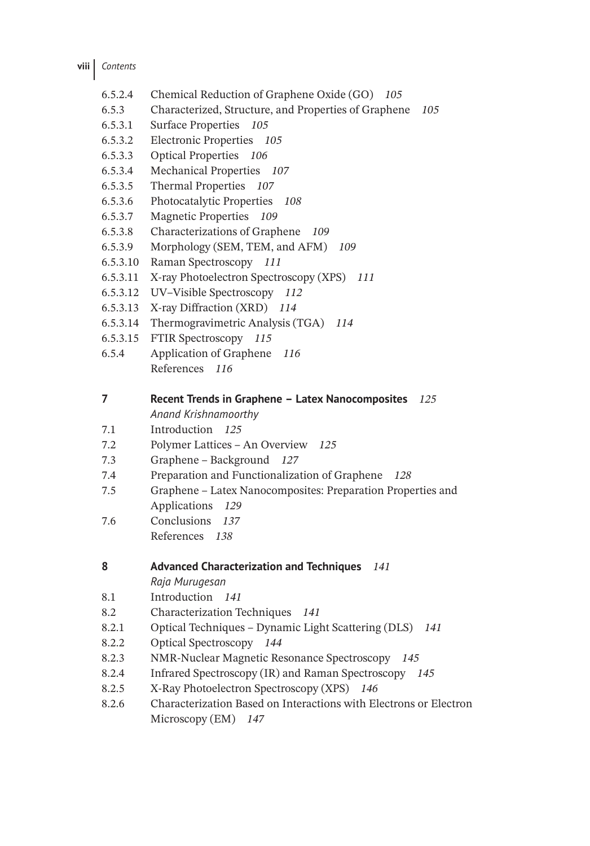- 6.5.2.4 Chemical Reduction of Graphene Oxide (GO) *105*
- 6.5.3 Characterized, Structure, and Properties of Graphene *105*
- 6.5.3.1 Surface Properties *105*
- 6.5.3.2 Electronic Properties *105*
- 6.5.3.3 Optical Properties *106*
- 6.5.3.4 Mechanical Properties *107*
- 6.5.3.5 Thermal Properties *107*
- 6.5.3.6 Photocatalytic Properties *108*
- 6.5.3.7 Magnetic Properties *109*
- 6.5.3.8 Characterizations of Graphene *109*
- 6.5.3.9 Morphology (SEM, TEM, and AFM) *109*
- 6.5.3.10 Raman Spectroscopy *111*
- 6.5.3.11 X-ray Photoelectron Spectroscopy (XPS) *111*
- 6.5.3.12 UV–Visible Spectroscopy *112*
- 6.5.3.13 X-ray Diffraction (XRD) *114*
- 6.5.3.14 Thermogravimetric Analysis (TGA) *114*
- 6.5.3.15 FTIR Spectroscopy *115*
- 6.5.4 Application of Graphene *116* References *116*

**7 Recent Trends in Graphene – Latex Nanocomposites** *125*

- *Anand Krishnamoorthy*
- 7.1 Introduction *125*
- 7.2 Polymer Lattices An Overview *125*
- 7.3 Graphene Background *127*
- 7.4 Preparation and Functionalization of Graphene *128*
- 7.5 Graphene Latex Nanocomposites: Preparation Properties and Applications *129*
- 7.6 Conclusions *137* References *138*

| 8 | <b>Advanced Characterization and Techniques</b> | 141 |
|---|-------------------------------------------------|-----|
|   | Raja Murugesan                                  |     |

- 8.1 Introduction *141*
- 8.2 Characterization Techniques *141*
- 8.2.1 Optical Techniques Dynamic Light Scattering (DLS) *141*
- 8.2.2 Optical Spectroscopy *144*
- 8.2.3 NMR-Nuclear Magnetic Resonance Spectroscopy *145*
- 8.2.4 Infrared Spectroscopy (IR) and Raman Spectroscopy *145*
- 8.2.5 X-Ray Photoelectron Spectroscopy (XPS) *146*
- 8.2.6 Characterization Based on Interactions with Electrons or Electron Microscopy (EM) *147*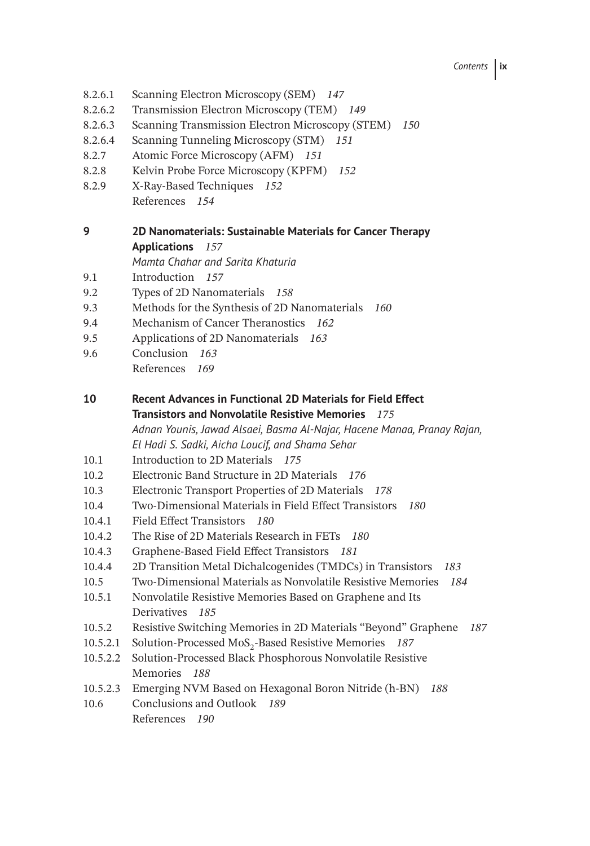*Contents* **ix**

- 8.2.6.1 Scanning Electron Microscopy (SEM) *147*
- 8.2.6.2 Transmission Electron Microscopy (TEM) *149*
- 8.2.6.3 Scanning Transmission Electron Microscopy (STEM) *150*
- 8.2.6.4 Scanning Tunneling Microscopy (STM) *151*
- 8.2.7 Atomic Force Microscopy (AFM) *151*
- 8.2.8 Kelvin Probe Force Microscopy (KPFM) *152*
- 8.2.9 X-Ray-Based Techniques *152* References *154*
- **9 2D Nanomaterials: Sustainable Materials for Cancer Therapy Applications** *157*
	- *Mamta Chahar and Sarita Khaturia*
- 9.1 Introduction *157*
- 9.2 Types of 2D Nanomaterials *158*
- 9.3 Methods for the Synthesis of 2D Nanomaterials *160*
- 9.4 Mechanism of Cancer Theranostics *162*
- 9.5 Applications of 2D Nanomaterials *163*
- 9.6 Conclusion *163* References *169*
- **10 Recent Advances in Functional 2D Materials for Field Effect Transistors and Nonvolatile Resistive Memories** *175 Adnan Younis, Jawad Alsaei, Basma Al-Najar, Hacene Manaa, Pranay Rajan,*
	- *El Hadi S. Sadki, Aicha Loucif, and Shama Sehar*
- 10.1 Introduction to 2D Materials *175*
- 10.2 Electronic Band Structure in 2D Materials *176*
- 10.3 Electronic Transport Properties of 2D Materials *178*
- 10.4 Two-Dimensional Materials in Field Effect Transistors *180*
- 10.4.1 Field Effect Transistors *180*
- 10.4.2 The Rise of 2D Materials Research in FETs *180*
- 10.4.3 Graphene-Based Field Effect Transistors *181*
- 10.4.4 2D Transition Metal Dichalcogenides (TMDCs) in Transistors *183*
- 10.5 Two-Dimensional Materials as Nonvolatile Resistive Memories *184*
- 10.5.1 Nonvolatile Resistive Memories Based on Graphene and Its Derivatives *185*
- 10.5.2 Resistive Switching Memories in 2D Materials "Beyond" Graphene *187*
- 10.5.2.1 Solution-Processed MoS<sub>2</sub>-Based Resistive Memories 187
- 10.5.2.2 Solution-Processed Black Phosphorous Nonvolatile Resistive Memories *188*
- 10.5.2.3 Emerging NVM Based on Hexagonal Boron Nitride (h-BN) *188*
- 10.6 Conclusions and Outlook *189* References *190*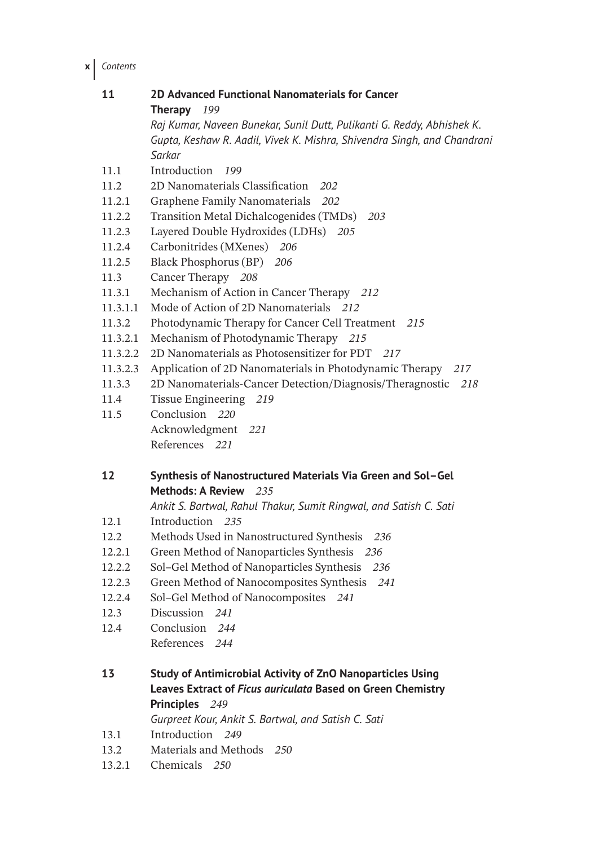**x** *Contents*

| 11       | 2D Advanced Functional Nanomaterials for Cancer                                   |
|----------|-----------------------------------------------------------------------------------|
|          | 199<br>Therapy                                                                    |
|          | Raj Kumar, Naveen Bunekar, Sunil Dutt, Pulikanti G. Reddy, Abhishek K.            |
|          | Gupta, Keshaw R. Aadil, Vivek K. Mishra, Shivendra Singh, and Chandrani<br>Sarkar |
| 11.1     | Introduction 199                                                                  |
| 11.2     | 2D Nanomaterials Classification<br>202                                            |
| 11.2.1   | Graphene Family Nanomaterials<br>202                                              |
| 11.2.2   | Transition Metal Dichalcogenides (TMDs) 203                                       |
| 11.2.3   | Layered Double Hydroxides (LDHs) 205                                              |
| 11.2.4   | Carbonitrides (MXenes)<br>206                                                     |
| 11.2.5   | Black Phosphorus (BP) 206                                                         |
| 11.3     | Cancer Therapy 208                                                                |
| 11.3.1   | Mechanism of Action in Cancer Therapy 212                                         |
| 11.3.1.1 | Mode of Action of 2D Nanomaterials 212                                            |
| 11.3.2   | Photodynamic Therapy for Cancer Cell Treatment 215                                |
| 11.3.2.1 | Mechanism of Photodynamic Therapy 215                                             |
| 11.3.2.2 | 2D Nanomaterials as Photosensitizer for PDT<br>217                                |
| 11.3.2.3 | Application of 2D Nanomaterials in Photodynamic Therapy 217                       |
| 11.3.3   | 2D Nanomaterials-Cancer Detection/Diagnosis/Theragnostic<br>218                   |
| 11.4     | Tissue Engineering 219                                                            |
| 11.5     | Conclusion 220                                                                    |
|          | Acknowledgment 221                                                                |
|          | References 221                                                                    |
| 12       | Synthesis of Nanostructured Materials Via Green and Sol-Gel                       |
|          | Methods: A Review<br>235                                                          |
|          | Ankit S. Bartwal, Rahul Thakur, Sumit Ringwal, and Satish C. Sati                 |
| 12.1     | Introduction 235                                                                  |
| 12.2     | Methods Used in Nanostructured Synthesis<br>236                                   |
| 12.2.1   | Green Method of Nanoparticles Synthesis 236                                       |
| 12.2.2   | Sol-Gel Method of Nanoparticles Synthesis 236                                     |
| 12.2.3   | Green Method of Nanocomposites Synthesis 241                                      |
| 12.2.4   | Sol-Gel Method of Nanocomposites 241                                              |
| 12.3     | Discussion<br>241                                                                 |
| 12.4     | Conclusion 244                                                                    |
|          | References 244                                                                    |
| 13       | Study of Antimicrobial Activity of ZnO Nanoparticles Using                        |
|          | Leaves Extract of Ficus auriculata Based on Green Chemistry                       |
|          | Principles 249                                                                    |
|          | Gurpreet Kour, Ankit S. Bartwal, and Satish C. Sati                               |
| 13.1     | Introduction 249                                                                  |
| 13.2     | Materials and Methods 250                                                         |
| 13.2.1   | Chemicals 250                                                                     |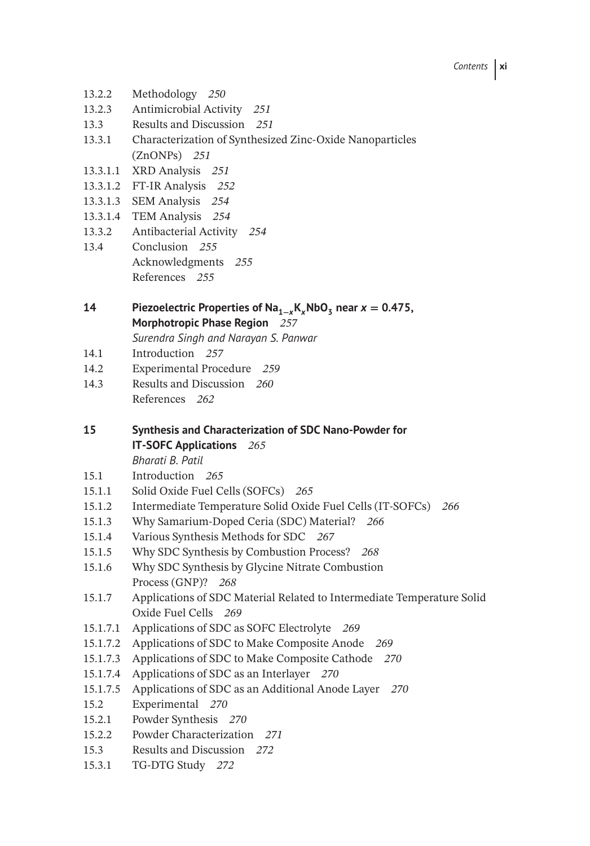- 13.2.2 Methodology *250*
- 13.2.3 Antimicrobial Activity *251*
- 13.3 Results and Discussion *251*
- 13.3.1 Characterization of Synthesized Zinc-Oxide Nanoparticles (ZnONPs) *251*
- 13.3.1.1 XRD Analysis *251*
- 13.3.1.2 FT-IR Analysis *252*
- 13.3.1.3 SEM Analysis *254*
- 13.3.1.4 TEM Analysis *254*
- 13.3.2 Antibacterial Activity *254*
- 13.4 Conclusion *255* Acknowledgments *255* References *255*

**14** Piezoelectric Properties of Na<sub>1−*x*</sub>K<sub>*x*</sub>NbO<sub>3</sub> near  $x = 0.475$ , **Morphotropic Phase Region** *257*

*Surendra Singh and Narayan S. Panwar*

- 14.1 Introduction *257*
- 14.2 Experimental Procedure *259*
- 14.3 Results and Discussion *260* References *262*

**15 Synthesis and Characterization of SDC Nano-Powder for IT-SOFC Applications** *265 Bharati B. Patil*

15.1 Introduction *265*

- 15.1.1 Solid Oxide Fuel Cells (SOFCs) *265*
- 15.1.2 Intermediate Temperature Solid Oxide Fuel Cells (IT-SOFCs) *266*
- 15.1.3 Why Samarium-Doped Ceria (SDC) Material? *266*
- 15.1.4 Various Synthesis Methods for SDC *267*
- 15.1.5 Why SDC Synthesis by Combustion Process? *268*
- 15.1.6 Why SDC Synthesis by Glycine Nitrate Combustion Process (GNP)? *268*
- 15.1.7 Applications of SDC Material Related to Intermediate Temperature Solid Oxide Fuel Cells *269*
- 15.1.7.1 Applications of SDC as SOFC Electrolyte *269*
- 15.1.7.2 Applications of SDC to Make Composite Anode *269*
- 15.1.7.3 Applications of SDC to Make Composite Cathode *270*
- 15.1.7.4 Applications of SDC as an Interlayer *270*
- 15.1.7.5 Applications of SDC as an Additional Anode Layer *270*
- 15.2 Experimental *270*
- 15.2.1 Powder Synthesis *270*
- 15.2.2 Powder Characterization *271*
- 15.3 Results and Discussion *272*
- 15.3.1 TG-DTG Study *272*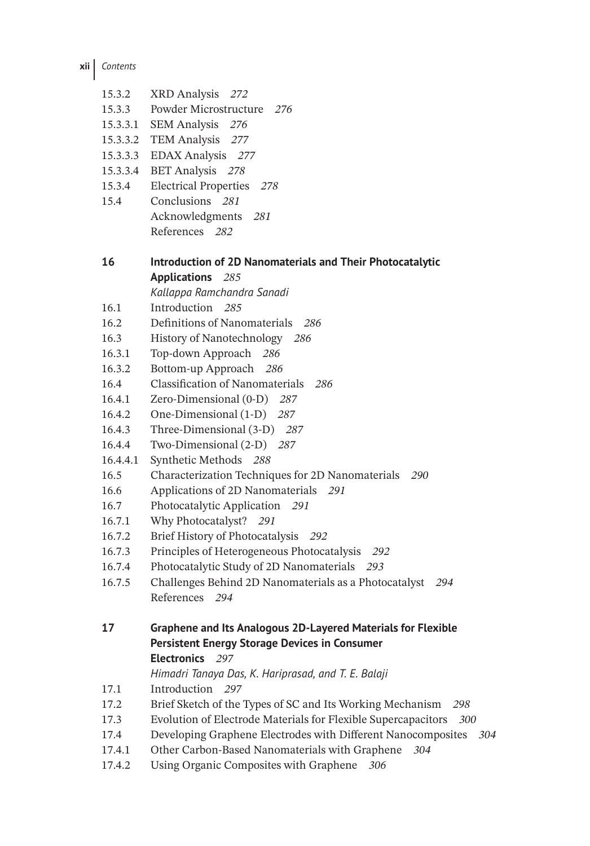**xii** *Contents*

- 15.3.2 XRD Analysis *272*
- 15.3.3 Powder Microstructure *276*
- 15.3.3.1 SEM Analysis *276*
- 15.3.3.2 TEM Analysis *277*
- 15.3.3.3 EDAX Analysis *277*
- 15.3.3.4 BET Analysis *278*
- 15.3.4 Electrical Properties *278*
- 15.4 Conclusions *281* Acknowledgments *281* References *282*

**16 Introduction of 2D Nanomaterials and Their Photocatalytic Applications** *285*

*Kallappa Ramchandra Sanadi*

- 16.1 Introduction *285*
- 16.2 Definitions of Nanomaterials *286*
- 16.3 History of Nanotechnology *286*
- 16.3.1 Top-down Approach *286*
- 16.3.2 Bottom-up Approach *286*
- 16.4 Classification of Nanomaterials *286*
- 16.4.1 Zero-Dimensional (0-D) *287*
- 16.4.2 One-Dimensional (1-D) *287*
- 16.4.3 Three-Dimensional (3-D) *287*
- 16.4.4 Two-Dimensional (2-D) *287*
- 16.4.4.1 Synthetic Methods *288*
- 16.5 Characterization Techniques for 2D Nanomaterials *290*
- 16.6 Applications of 2D Nanomaterials *291*
- 16.7 Photocatalytic Application *291*
- 16.7.1 Why Photocatalyst? *291*
- 16.7.2 Brief History of Photocatalysis *292*
- 16.7.3 Principles of Heterogeneous Photocatalysis *292*
- 16.7.4 Photocatalytic Study of 2D Nanomaterials *293*
- 16.7.5 Challenges Behind 2D Nanomaterials as a Photocatalyst *294* References *294*

```
17 Graphene and Its Analogous 2D-Layered Materials for Flexible
Persistent Energy Storage Devices in Consumer
Electronics 297
```
*Himadri Tanaya Das, K. Hariprasad, and T. E. Balaji*

17.1 Introduction *297*

- 17.2 Brief Sketch of the Types of SC and Its Working Mechanism *298*
- 17.3 Evolution of Electrode Materials for Flexible Supercapacitors *300*
- 17.4 Developing Graphene Electrodes with Different Nanocomposites *304*
- 17.4.1 Other Carbon-Based Nanomaterials with Graphene *304*
- 17.4.2 Using Organic Composites with Graphene *306*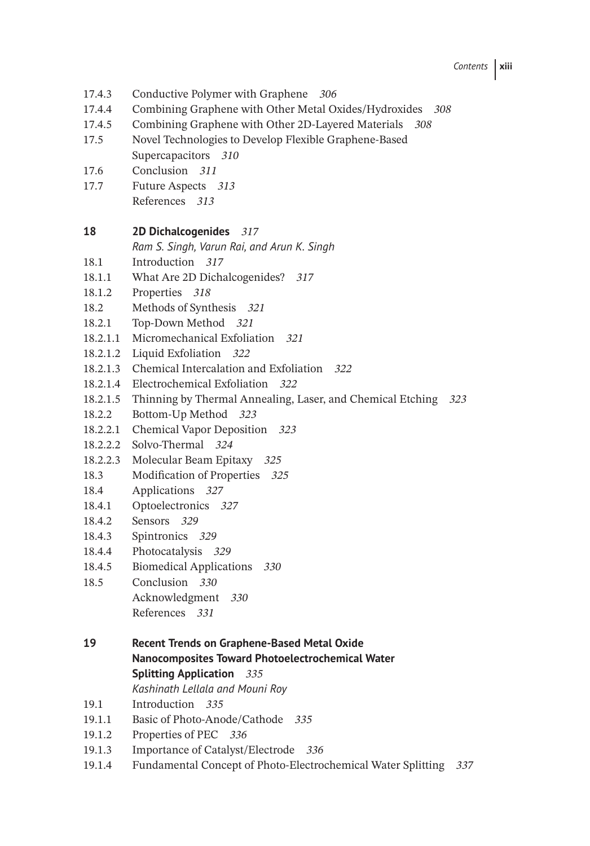*Contents* **xiii**

- 17.4.3 Conductive Polymer with Graphene *306*
- 17.4.4 Combining Graphene with Other Metal Oxides/Hydroxides *308*
- 17.4.5 Combining Graphene with Other 2D-Layered Materials *308*
- 17.5 Novel Technologies to Develop Flexible Graphene-Based Supercapacitors *310*
- 17.6 Conclusion *311*
- 17.7 Future Aspects *313* References *313*

## **18 2D Dichalcogenides** *317*

*Ram S. Singh, Varun Rai, and Arun K. Singh*

- 18.1 Introduction *317*
- 18.1.1 What Are 2D Dichalcogenides? *317*
- 18.1.2 Properties *318*
- 18.2 Methods of Synthesis *321*
- 18.2.1 Top-Down Method *321*
- 18.2.1.1 Micromechanical Exfoliation *321*
- 18.2.1.2 Liquid Exfoliation *322*
- 18.2.1.3 Chemical Intercalation and Exfoliation *322*
- 18.2.1.4 Electrochemical Exfoliation *322*
- 18.2.1.5 Thinning by Thermal Annealing, Laser, and Chemical Etching *323*
- 18.2.2 Bottom-Up Method *323*
- 18.2.2.1 Chemical Vapor Deposition *323*
- 18.2.2.2 Solvo-Thermal *324*
- 18.2.2.3 Molecular Beam Epitaxy *325*
- 18.3 Modification of Properties *325*
- 18.4 Applications *327*
- 18.4.1 Optoelectronics *327*
- 18.4.2 Sensors *329*
- 18.4.3 Spintronics *329*
- 18.4.4 Photocatalysis *329*
- 18.4.5 Biomedical Applications *330*
- 18.5 Conclusion *330* Acknowledgment *330* References *331*
- **19 Recent Trends on Graphene-Based Metal Oxide Nanocomposites Toward Photoelectrochemical Water Splitting Application** *335*

*Kashinath Lellala and Mouni Roy*

- 19.1 Introduction *335*
- 19.1.1 Basic of Photo-Anode/Cathode *335*
- 19.1.2 Properties of PEC *336*
- 19.1.3 Importance of Catalyst/Electrode *336*
- 19.1.4 Fundamental Concept of Photo-Electrochemical Water Splitting *337*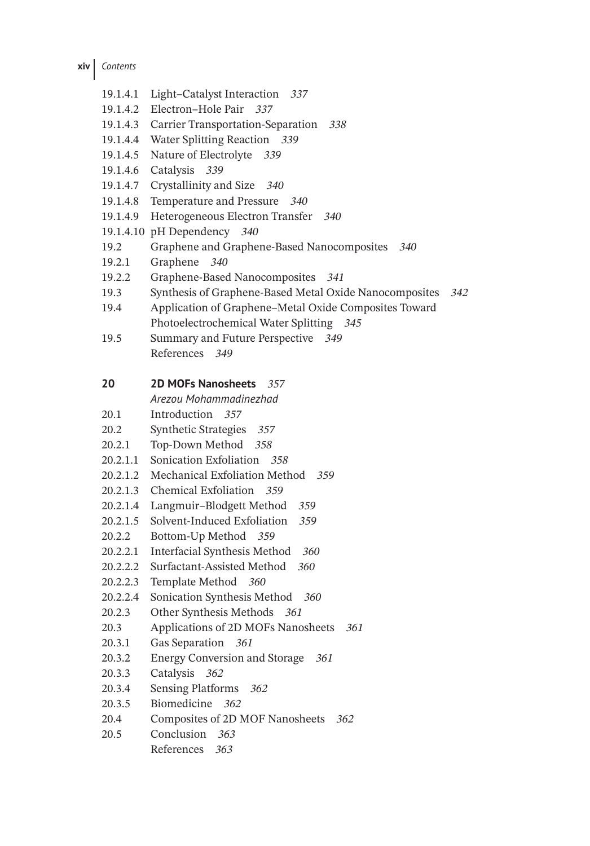19.1.4.1 Light–Catalyst Interaction *337* 19.1.4.2 Electron–Hole Pair *337* 19.1.4.3 Carrier Transportation-Separation *338* 19.1.4.4 Water Splitting Reaction *339* 19.1.4.5 Nature of Electrolyte *339* 19.1.4.6 Catalysis *339* 19.1.4.7 Crystallinity and Size *340* 19.1.4.8 Temperature and Pressure *340* 19.1.4.9 Heterogeneous Electron Transfer *340* 19.1.4.10 pH Dependency *340* 19.2 Graphene and Graphene-Based Nanocomposites *340* 19.2.1 Graphene *340* 19.2.2 Graphene-Based Nanocomposites *341* 19.3 Synthesis of Graphene-Based Metal Oxide Nanocomposites *342* 19.4 Application of Graphene–Metal Oxide Composites Toward Photoelectrochemical Water Splitting *345* 19.5 Summary and Future Perspective *349* References *349* **20 2D MOFs Nanosheets** *357 Arezou Mohammadinezhad* 20.1 Introduction *357* 20.2 Synthetic Strategies *357* 20.2.1 Top-Down Method *358* 20.2.1.1 Sonication Exfoliation *358* 20.2.1.2 Mechanical Exfoliation Method *359* 20.2.1.3 Chemical Exfoliation *359* 20.2.1.4 Langmuir–Blodgett Method *359* 20.2.1.5 Solvent-Induced Exfoliation *359* 20.2.2 Bottom-Up Method *359* 20.2.2.1 Interfacial Synthesis Method *360* 20.2.2.2 Surfactant-Assisted Method *360* 20.2.2.3 Template Method *360* 20.2.2.4 Sonication Synthesis Method *360* 20.2.3 Other Synthesis Methods *361* 20.3 Applications of 2D MOFs Nanosheets *361* 20.3.1 Gas Separation *361* 20.3.2 Energy Conversion and Storage *361* 20.3.3 Catalysis *362* 20.3.4 Sensing Platforms *362* 20.3.5 Biomedicine *362* 20.4 Composites of 2D MOF Nanosheets *362* 20.5 Conclusion *363* References *363*